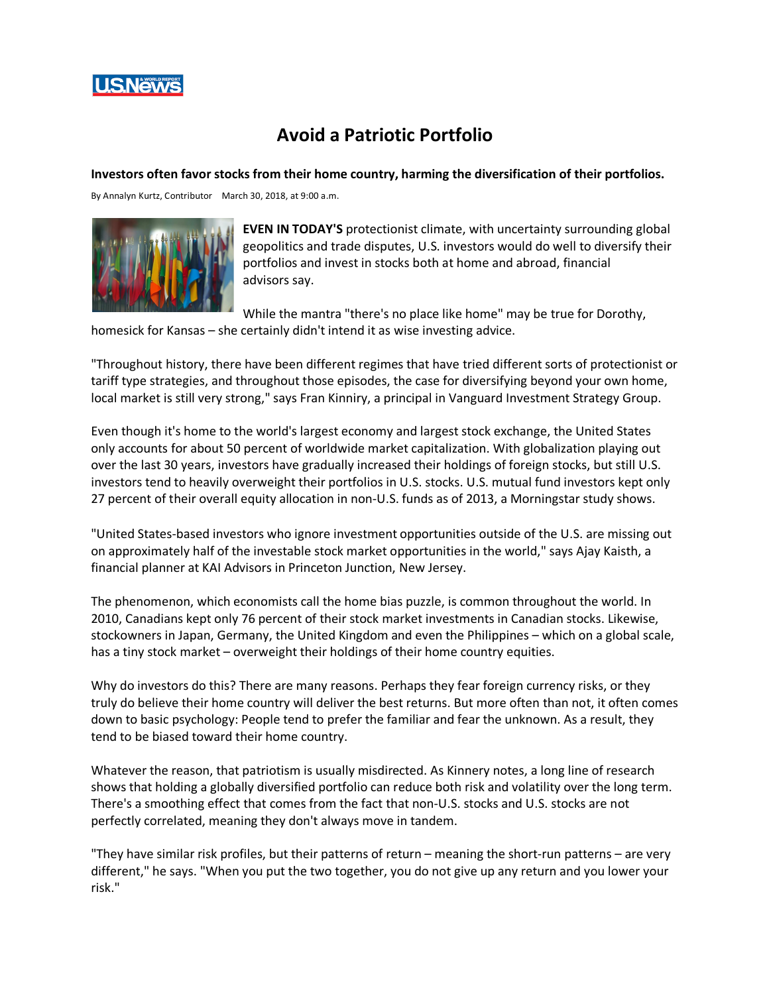

## **Avoid a Patriotic Portfolio**

**Investors often favor stocks from their home country, harming the diversification of their portfolios.**

By Annalyn Kurtz, Contributor March 30, 2018, at 9:00 a.m.



**EVEN IN TODAY'S** protectionist climate, with uncertainty surrounding global geopolitics and trade disputes, U.S. investors would do well to diversify their portfolios and invest in stocks both at home and abroad, financial advisors say.

While the mantra "there's no place like home" may be true for Dorothy, homesick for Kansas – she certainly didn't intend it as wise investing advice.

"Throughout history, there have been different regimes that have tried different sorts of protectionist or tariff type strategies, and throughout those episodes, the case for diversifying beyond your own home, local market is still very strong," says Fran Kinniry, a principal in Vanguard Investment Strategy Group.

Even though it's home to the world's largest economy and largest stock exchange, the United States only accounts for about 50 percent of worldwide market capitalization. With globalization playing out over the last 30 years, investors have gradually increased their holdings of foreign stocks, but still U.S. investors tend to heavily overweight their portfolios in U.S. stocks. U.S. mutual fund investors kept only 27 percent of their overall equity allocation in non-U.S. funds as of 2013, a Morningstar study shows.

"United States-based investors who ignore investment opportunities outside of the U.S. are missing out on approximately half of the investable stock market opportunities in the world," says Ajay Kaisth, a financial planner at KAI Advisors in Princeton Junction, New Jersey.

The phenomenon, which economists call the home bias puzzle, is common throughout the world. In 2010, Canadians kept only 76 percent of their stock market investments in Canadian stocks. Likewise, stockowners in Japan, Germany, the United Kingdom and even the Philippines – which on a global scale, has a tiny stock market – overweight their holdings of their home country equities.

Why do investors do this? There are many reasons. Perhaps they fear foreign currency risks, or they truly do believe their home country will deliver the best returns. But more often than not, it often comes down to basic psychology: People tend to prefer the familiar and fear the unknown. As a result, they tend to be biased toward their home country.

Whatever the reason, that patriotism is usually misdirected. As Kinnery notes, a long line of research shows that holding a globally diversified portfolio can reduce both risk and volatility over the long term. There's a smoothing effect that comes from the fact that non-U.S. stocks and U.S. stocks are not perfectly correlated, meaning they don't always move in tandem.

"They have similar risk profiles, but their patterns of return – meaning the short-run patterns – are very different," he says. "When you put the two together, you do not give up any return and you lower your risk."